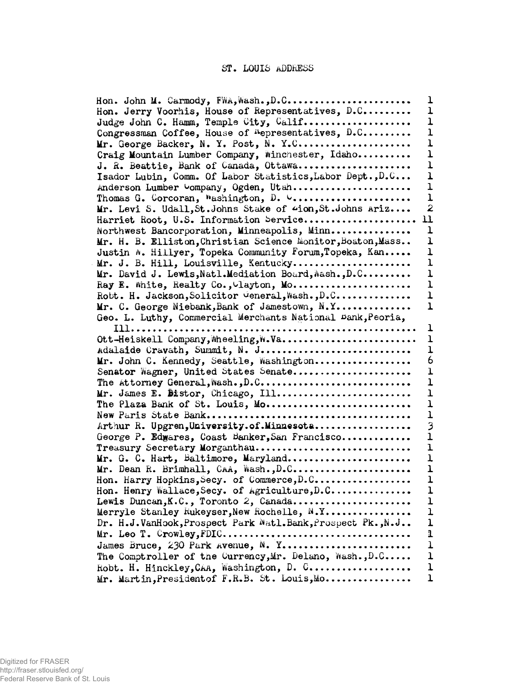## **ST. LOUIS ADDRESS**

| Hon. John M. Carmody, FWA, Wash., D.C                         | ı                |
|---------------------------------------------------------------|------------------|
| Hon. Jerry Voorhis, House of Representatives, D.C             | 1                |
| Judge John C. Hamm, Temple City, Calif                        | ı                |
| Congressman Coffee, House of <sup>n</sup> epresentatives, D.C | 1                |
| Mr. George Backer, N. Y. Post, N. Y.C                         | ı                |
| Craig Mountain Lumber Company, Winchester, Idaho              | $\mathbf{I}$     |
| J. R. Beattie, Bank of Canada, Ottawa                         | ı                |
|                                                               | ı                |
| Isador Lubin, Comm. Of Labor Statistics, Labor Dept., D.C     | ı                |
| Anderson Lumber Vompany, Ogden, Utah                          | $\mathbf{I}$     |
| Thomas G. Corcoran, Washington, D. V                          |                  |
| Mr. Levi S. Udall, St. Johns Stake of 4ion, St. Johns Ariz    | $\boldsymbol{z}$ |
| Harriet Root, U.S. Information Service                        | 11               |
| Northwest Bancorporation, Minneapolis, Minn                   | $\mathbf{1}$     |
| Mr. H. B. Elliston, Christian Science Monitor, Boaton, Mass   | ı                |
| Justin #. Hillyer, Topeka Community Forum, Topeka, Kan        | ı                |
| Mr. J. B. Hill, Louisville, Kentucky                          | ı                |
| Mr. David J. Lewis, Natl.Mediation Board, Mash., D.C          | ı                |
| Ray E. White, Realty Co., Layton, Mo                          | ı                |
| Robt. H. Jackson, Solicitor General, Wash., D.C               | $\mathbf 1$      |
| Mr. C. George Niebank, Bank of Jamestown, N.Y                 | ı                |
| Geo. L. Luthy, Commercial Merchants National Dank, Peoria,    |                  |
| Ill                                                           | ı                |
| Ott-Heiskell Company, Wheeling, W.Va                          | ı                |
| Adalaide Cravath, Summit, N. J                                | $\mathbf{1}$     |
| Mr. John C. Kennedy, Seattle, Washington                      | 6                |
| Senator Wagner, United States Senate                          | ı                |
| The Attorney General, Wash., D.C                              | $\mathbf 1$      |
| Mr. James E. Distor, Chicago, Ill                             | $\mathbf 1$      |
| The Plaza Bank of St. Louis, Mo                               | ı                |
|                                                               | $\mathbf{1}$     |
| Arthur R. Upgren, University. of. Minnesota                   | 3                |
| George P. Edwares, Coast Banker, San Francisco                | $\mathbf 1$      |
| Treasury Secretary Morganthau                                 | $\mathbf{I}$     |
| Mr. G. C. Hart, Baltimore, Maryland                           | ı                |
| Mr. Dean R. Brimhall, CAA, Wash., D.C                         | $\mathbf 1$      |
| Hon. Harry Hopkins, Secy. of Commerce, D.C                    | 1                |
| Hon. Henry Wallace, Secy. of Agriculture, D.C                 | ı                |
| Lewis Duncan, K.C., Toronto 2, Canada                         | $\mathbf{1}$     |
| Merryle Stanley Rukeyser, New Rochelle, N.Y                   | ı                |
| Dr. H.J.VanHook, Prospect Park Watl.Bank, Prospect Pk., N.J   | $\mathbf{1}$     |
|                                                               | $\mathbf 1$      |
| James Bruce, 230 Park Avenue, N. Y                            | $\mathbf 1$      |
| The Comptroller of the Currency, Mr. Delano, Wash., D.C       | $\mathbf 1$      |
| Robt. H. Hinckley, CAA, Washington, D. C                      | $\mathbf{1}$     |
|                                                               | ı                |
| Mr. Martin, President of F.R.B. St. Louis, Mo                 |                  |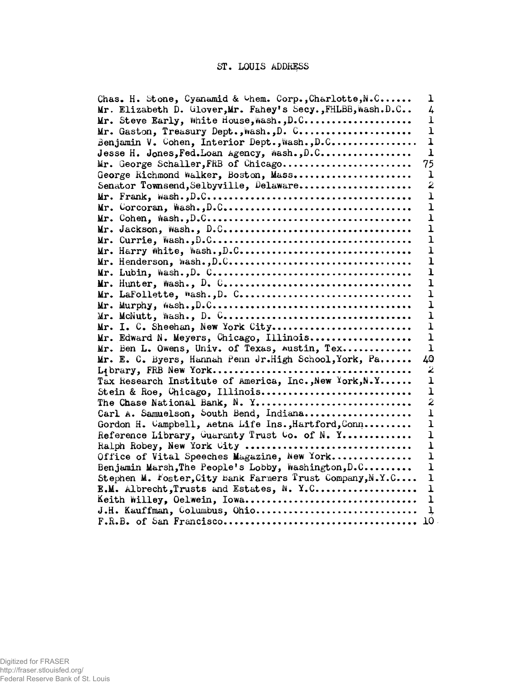## **ST. LOUIS ADDRESS**

| Chas. H. Stone, Cyanamid & Chem. Corp., Charlotte, N.C<br>ı              |
|--------------------------------------------------------------------------|
| Mr. Elizabeth D. Glover, Mr. Fahey's Secy., FHLBB, Wash.D.C<br>4         |
| ı<br>Mr. Steve Early, White House, Wash., D.C                            |
| Mr. Gaston, Treasury Dept., Wash., D. C<br>$\mathbf{I}$                  |
| $\overline{1}$<br>Benjamin V. Cohen, Interior Dept., Wash., D.C          |
| $\mathbf{I}$<br>Jesse H. Jones, Fed. Loan Agency, Wash., D.C             |
| 75<br>Mr. George Schaller, FRB of Chicago                                |
| George Richmond Walker, Boston, Mass<br>ı                                |
| 2<br>Senator Townsend, Selbyville, Delaware                              |
| $\mathbf{I}$                                                             |
| $\mathbf 1$                                                              |
| $\mathbf 1$                                                              |
| $\mathbf 1$                                                              |
| $\mathbf 1$                                                              |
| ı                                                                        |
| ı                                                                        |
| $\mathbf{1}$                                                             |
| 1                                                                        |
| ı                                                                        |
| ı                                                                        |
| ı                                                                        |
| Mr. I. C. Sheehan, New York City<br>ı                                    |
| Mr. Edward N. Meyers, Chicago, Illinois<br>ı                             |
| Mr. Ben L. Owens, Univ. of Texas, Austin, Tex<br>ı                       |
| Mr. E. C. Byers, Hannah Penn Jr.High School, York, Pa<br>40              |
| 2                                                                        |
| Tax Research Institute of America, Inc., New York, N.Y<br>ı              |
| Stein & Roe, Chicago, Illinois<br>ı                                      |
| 2<br>The Chase National Bank, N. Y                                       |
| Carl A. Samuelson, South Bend, Indiana<br>$\mathbf{I}$                   |
| Gordon H. Campbell, Aetna Life Ins., Hartford, Conn<br>$\mathbf{1}$      |
| Reference Library, Guaranty Trust Co. of N. Y<br>ı                       |
| Ralph Robey, New York City<br>$\mathbf 1$                                |
| Office of Vital Speeches Magazine, New York<br>ı                         |
| Benjamin Marsh, The People's Lobby, Washington, D.C<br>$\mathbf{I}$      |
| Stephen M. Foster, City Bank Farmers Trust Company, N.Y.C<br>$\mathbf 1$ |
| E.M. Albrecht, Trusts and Estates, N. Y.C<br>ı                           |
| Keith Willey, Oelwein, Iowa<br>ļ                                         |
| J.H. Kauffman, Columbus, Ohio<br>1,                                      |
| 10                                                                       |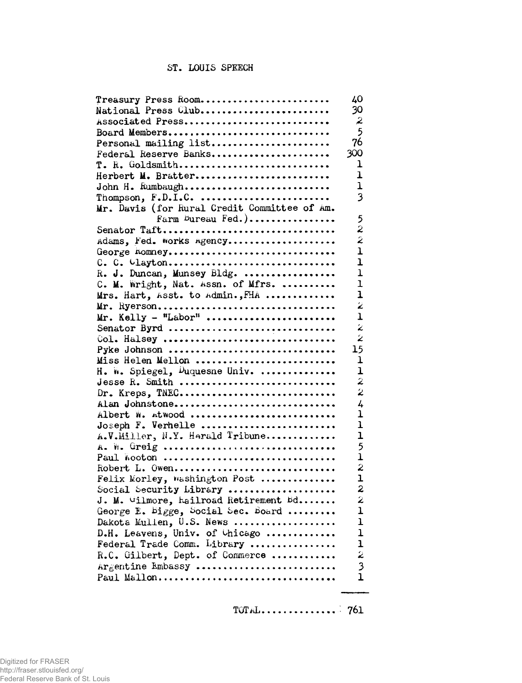## **ST. LOUIS SPEECH**

| Treasury Press Room                                                                       | 40                      |
|-------------------------------------------------------------------------------------------|-------------------------|
| National Press Club                                                                       | 30                      |
| Associated Press                                                                          | $\boldsymbol{z}$        |
| Board Members                                                                             | 5                       |
| Personal mailing list                                                                     | 76                      |
| Federal Reserve Banks                                                                     | 300                     |
| $T.$ R. Goldsmith                                                                         | 1                       |
| Herbert M. Bratter                                                                        | ı                       |
| John H. Rumbaugh                                                                          | 1                       |
| Thompson, $F.D.I.C.$                                                                      | 3                       |
| Mr. Davis (for Rural Credit Committee of Am.                                              |                         |
| Farm Dureau Fed.)                                                                         | 5                       |
| Senator Taft                                                                              | 2                       |
| Adams, Fed. Works Agency                                                                  | 2                       |
| George homney                                                                             | T                       |
| $C. C. Uayton$                                                                            | ı                       |
| R. J. Duncan, Munsey Bldg.                                                                | ı                       |
| C. M. Wright, Nat. Assn. of Mfrs.                                                         | ı                       |
| Mrs. Hart, Asst. to Admin., FHA                                                           | $\mathbf{I}$            |
| Mr. Ryerson                                                                               | $\ddot{\bm{z}}$         |
| $Mr.$ Kelly - "Labor"                                                                     | ı                       |
| Senator Byrd                                                                              | $\tilde{\varkappa}$     |
| Col. Halsey                                                                               | $\overline{\mathbf{z}}$ |
| Pyke Johnson                                                                              | 15                      |
| Miss Helen Mellon                                                                         | $\mathbf 1$             |
| H. W. Spiegel, Duquesne Univ.                                                             | ı                       |
| Jesse R. Smith                                                                            | $\overline{z}$          |
| Dr. Kreps, TNEC                                                                           | $\overline{2}$          |
| Alan Johnstone                                                                            | 4                       |
| Albert W. Atwood                                                                          | ı                       |
| Joseph F. Verhelle                                                                        | ı                       |
| A.V.Miller, N.Y. Herald Tribune                                                           | $\mathbf{I}$            |
| A. W. Greig                                                                               | 5                       |
|                                                                                           | $\mathbf{1}$            |
| Robert L. Owen                                                                            | $\boldsymbol{z}$        |
| Felix Morley, Washington Post                                                             | $\overline{1}$          |
| Social Security Library                                                                   | $\overline{\mathbf{z}}$ |
| J. M. Wilmore, hailroad Retirement Bd                                                     | $\mathbf{z}$            |
| George E. Bigge, Social Sec. Board                                                        | ı                       |
|                                                                                           | ı                       |
|                                                                                           | $\mathbf 1$             |
| Dakota Mullen, U.S. News<br>D.H. Leavens, Univ. of Chicago<br>Federal Trade Comm. Library | $\mathbf{1}$            |
| R.C. Gilbert, Dept. of Commerce                                                           | 2                       |
| Argentine Embassy                                                                         | $\frac{3}{1}$           |
| Paul Mallon                                                                               |                         |

**TOTaL 761**